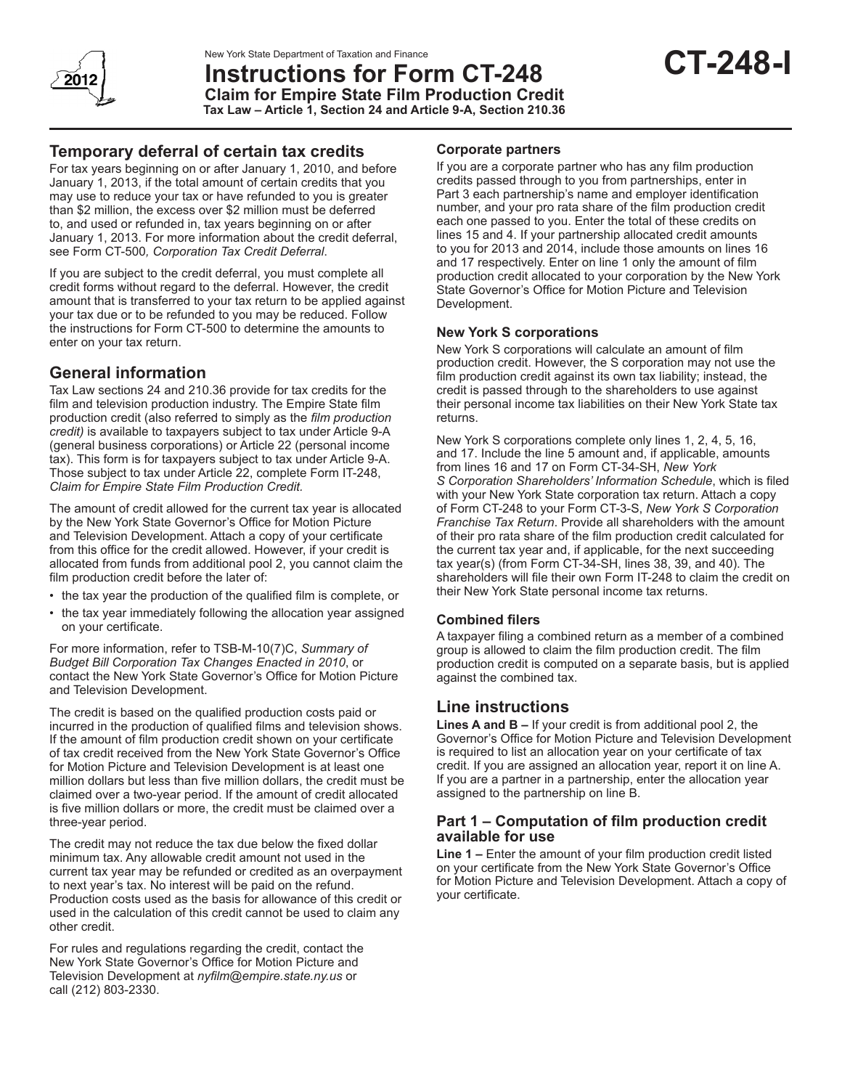

**Instructions for Form CT-248 Claim for Empire State Film Production Credit Tax Law – Article 1, Section 24 and Article 9-A, Section 210.36**

For tax years beginning on or after January 1, 2010, and before January 1, 2013, if the total amount of certain credits that you may use to reduce your tax or have refunded to you is greater than \$2 million, the excess over \$2 million must be deferred to, and used or refunded in, tax years beginning on or after January 1, 2013. For more information about the credit deferral, see Form CT-500*, Corporation Tax Credit Deferral*.

If you are subject to the credit deferral, you must complete all credit forms without regard to the deferral. However, the credit amount that is transferred to your tax return to be applied against your tax due or to be refunded to you may be reduced. Follow the instructions for Form CT-500 to determine the amounts to enter on your tax return.

# **General information**

Tax Law sections 24 and 210.36 provide for tax credits for the film and television production industry. The Empire State film production credit (also referred to simply as the *film production credit)* is available to taxpayers subject to tax under Article 9-A (general business corporations) or Article 22 (personal income tax). This form is for taxpayers subject to tax under Article 9-A. Those subject to tax under Article 22, complete Form IT-248, *Claim for Empire State Film Production Credit.*

The amount of credit allowed for the current tax year is allocated by the New York State Governor's Office for Motion Picture and Television Development. Attach a copy of your certificate from this office for the credit allowed. However, if your credit is allocated from funds from additional pool 2, you cannot claim the film production credit before the later of:

- the tax year the production of the qualified film is complete, or
- the tax year immediately following the allocation year assigned on your certificate.

For more information, refer to TSB-M-10(7)C, *Summary of Budget Bill Corporation Tax Changes Enacted in 2010*, or contact the New York State Governor's Office for Motion Picture and Television Development.

The credit is based on the qualified production costs paid or incurred in the production of qualified films and television shows. If the amount of film production credit shown on your certificate of tax credit received from the New York State Governor's Office for Motion Picture and Television Development is at least one million dollars but less than five million dollars, the credit must be claimed over a two-year period. If the amount of credit allocated is five million dollars or more, the credit must be claimed over a three-year period.

The credit may not reduce the tax due below the fixed dollar minimum tax. Any allowable credit amount not used in the current tax year may be refunded or credited as an overpayment to next year's tax. No interest will be paid on the refund. Production costs used as the basis for allowance of this credit or used in the calculation of this credit cannot be used to claim any other credit.

For rules and regulations regarding the credit, contact the New York State Governor's Office for Motion Picture and Television Development at *nyfilm@empire.state.ny.us* or call (212) 803-2330.

#### **Corporate partners**

If you are a corporate partner who has any film production credits passed through to you from partnerships, enter in Part 3 each partnership's name and employer identification number, and your pro rata share of the film production credit each one passed to you. Enter the total of these credits on lines 15 and 4. If your partnership allocated credit amounts to you for 2013 and 2014, include those amounts on lines 16 and 17 respectively. Enter on line 1 only the amount of film production credit allocated to your corporation by the New York State Governor's Office for Motion Picture and Television Development.

#### **New York S corporations**

New York S corporations will calculate an amount of film production credit. However, the S corporation may not use the film production credit against its own tax liability; instead, the credit is passed through to the shareholders to use against their personal income tax liabilities on their New York State tax returns.

New York S corporations complete only lines 1, 2, 4, 5, 16, and 17. Include the line 5 amount and, if applicable, amounts from lines 16 and 17 on Form CT‑34‑SH, *New York S Corporation Shareholders' Information Schedule*, which is filed with your New York State corporation tax return. Attach a copy of Form CT-248 to your Form CT-3-S, *New York S Corporation Franchise Tax Return*. Provide all shareholders with the amount of their pro rata share of the film production credit calculated for the current tax year and, if applicable, for the next succeeding tax year(s) (from Form CT-34-SH, lines 38, 39, and 40). The shareholders will file their own Form IT‑248 to claim the credit on their New York State personal income tax returns.

## **Combined filers**

A taxpayer filing a combined return as a member of a combined group is allowed to claim the film production credit. The film production credit is computed on a separate basis, but is applied against the combined tax.

# **Line instructions**

**Lines A and B –** If your credit is from additional pool 2, the Governor's Office for Motion Picture and Television Development is required to list an allocation year on your certificate of tax credit. If you are assigned an allocation year, report it on line A. If you are a partner in a partnership, enter the allocation year assigned to the partnership on line B.

#### **Part 1 – Computation of film production credit available for use**

**Line 1 –** Enter the amount of your film production credit listed on your certificate from the New York State Governor's Office for Motion Picture and Television Development. Attach a copy of your certificate.